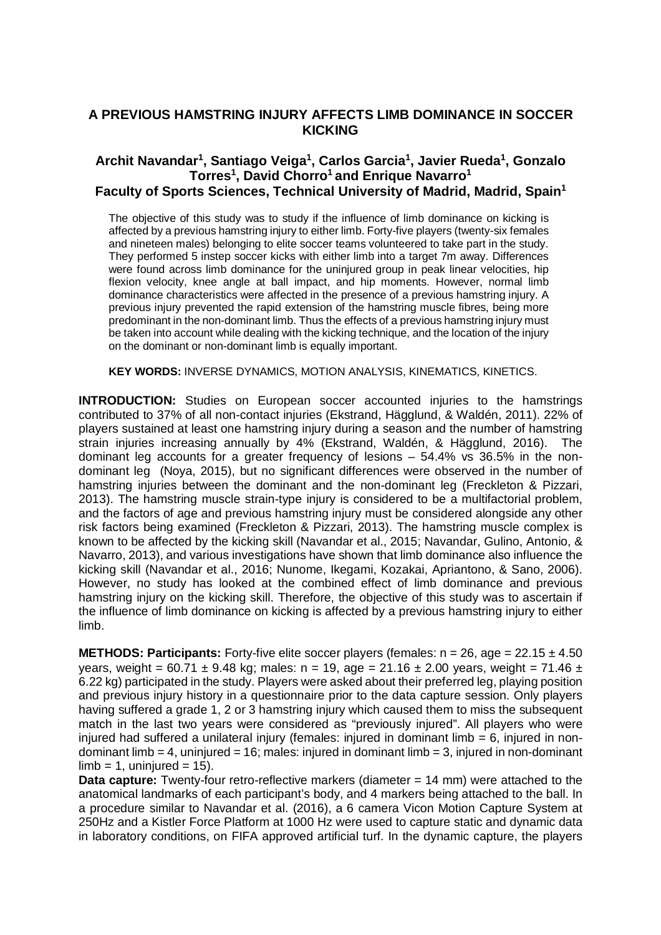## **A PREVIOUS HAMSTRING INJURY AFFECTS LIMB DOMINANCE IN SOCCER KICKING**

## **Archit Navandar<sup>1</sup> , Santiago Veiga<sup>1</sup> , Carlos Garcia<sup>1</sup> , Javier Rueda 1 , Gonzalo Torres<sup>1</sup> , David Chorro<sup>1</sup>and Enrique Navarro<sup>1</sup> Faculty of Sports Sciences, Technical University of Madrid, Madrid, Spain<sup>1</sup>**

The objective of this study was to study if the influence of limb dominance on kicking is affected by a previous hamstring injury to either limb. Forty-five players (twenty-six females and nineteen males) belonging to elite soccer teams volunteered to take part in the study. They performed 5 instep soccer kicks with either limb into a target 7m away. Differences were found across limb dominance for the uninjured group in peak linear velocities, hip flexion velocity, knee angle at ball impact, and hip moments. However, normal limb dominance characteristics were affected in the presence of a previous hamstring injury. A previous injury prevented the rapid extension of the hamstring muscle fibres, being more predominant in the non-dominant limb. Thus the effects of a previous hamstring injury must be taken into account while dealing with the kicking technique, and the location of the injury on the dominant or non-dominant limb is equally important.

**KEY WORDS:** INVERSE DYNAMICS, MOTION ANALYSIS, KINEMATICS, KINETICS.

**INTRODUCTION:** Studies on European soccer accounted injuries to the hamstrings contributed to 37% of all non-contact injuries (Ekstrand, Hägglund, & Waldén, 2011). 22% of players sustained at least one hamstring injury during a season and the number of hamstring strain injuries increasing annually by 4% (Ekstrand, Waldén, & Hägglund, 2016). The dominant leg accounts for a greater frequency of lesions – 54.4% vs 36.5% in the nondominant leg (Noya, 2015), but no significant differences were observed in the number of hamstring injuries between the dominant and the non-dominant leg (Freckleton & Pizzari, 2013). The hamstring muscle strain-type injury is considered to be a multifactorial problem, and the factors of age and previous hamstring injury must be considered alongside any other risk factors being examined (Freckleton & Pizzari, 2013). The hamstring muscle complex is known to be affected by the kicking skill (Navandar et al., 2015; Navandar, Gulino, Antonio, & Navarro, 2013), and various investigations have shown that limb dominance also influence the kicking skill (Navandar et al., 2016; Nunome, Ikegami, Kozakai, Apriantono, & Sano, 2006). However, no study has looked at the combined effect of limb dominance and previous hamstring injury on the kicking skill. Therefore, the objective of this study was to ascertain if the influence of limb dominance on kicking is affected by a previous hamstring injury to either limb.

**METHODS: Participants:** Forty-five elite soccer players (females:  $n = 26$ , age = 22.15  $\pm$  4.50 years, weight = 60.71  $\pm$  9.48 kg; males: n = 19, age = 21.16  $\pm$  2.00 years, weight = 71.46  $\pm$ 6.22 kg) participated in the study. Players were asked about their preferred leg, playing position and previous injury history in a questionnaire prior to the data capture session. Only players having suffered a grade 1, 2 or 3 hamstring injury which caused them to miss the subsequent match in the last two years were considered as "previously injured". All players who were injured had suffered a unilateral injury (females: injured in dominant limb  $= 6$ , injured in nondominant limb = 4, uninjured = 16; males: injured in dominant limb = 3, injured in non-dominant  $limb = 1$ , uninjured = 15).

**Data capture:** Twenty-four retro-reflective markers (diameter = 14 mm) were attached to the anatomical landmarks of each participant's body, and 4 markers being attached to the ball. In a procedure similar to Navandar et al. (2016), a 6 camera Vicon Motion Capture System at 250Hz and a Kistler Force Platform at 1000 Hz were used to capture static and dynamic data in laboratory conditions, on FIFA approved artificial turf. In the dynamic capture, the players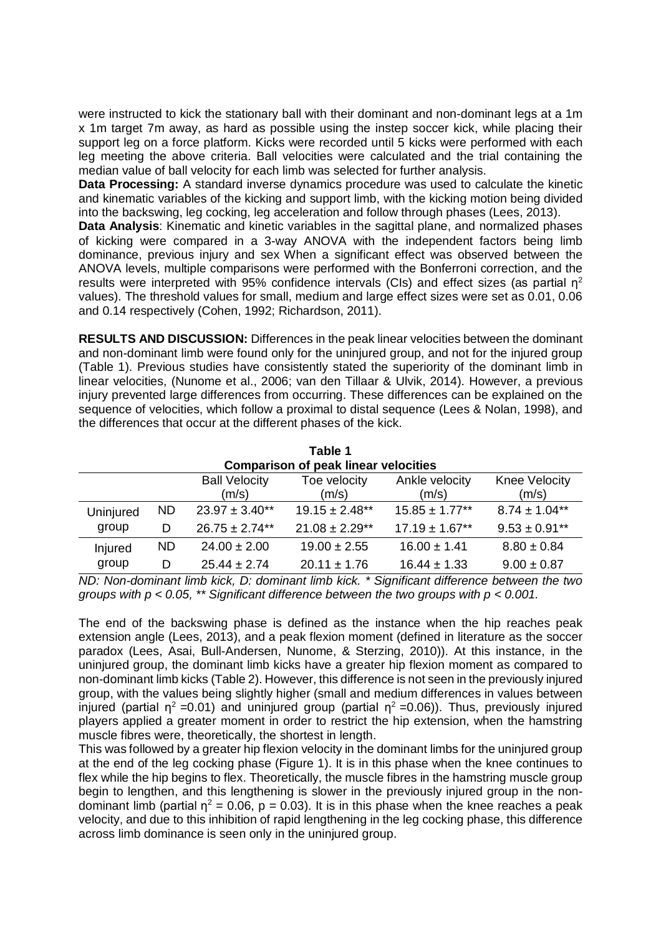were instructed to kick the stationary ball with their dominant and non-dominant legs at a 1m x 1m target 7m away, as hard as possible using the instep soccer kick, while placing their support leg on a force platform. Kicks were recorded until 5 kicks were performed with each leg meeting the above criteria. Ball velocities were calculated and the trial containing the median value of ball velocity for each limb was selected for further analysis.

**Data Processing:** A standard inverse dynamics procedure was used to calculate the kinetic and kinematic variables of the kicking and support limb, with the kicking motion being divided into the backswing, leg cocking, leg acceleration and follow through phases (Lees, 2013).

**Data Analysis**: Kinematic and kinetic variables in the sagittal plane, and normalized phases of kicking were compared in a 3-way ANOVA with the independent factors being limb dominance, previous injury and sex When a significant effect was observed between the ANOVA levels, multiple comparisons were performed with the Bonferroni correction, and the results were interpreted with 95% confidence intervals (CIs) and effect sizes (as partial  $\eta^2$ values). The threshold values for small, medium and large effect sizes were set as 0.01, 0.06 and 0.14 respectively (Cohen, 1992; Richardson, 2011).

**RESULTS AND DISCUSSION:** Differences in the peak linear velocities between the dominant and non-dominant limb were found only for the uninjured group, and not for the injured group (Table 1). Previous studies have consistently stated the superiority of the dominant limb in linear velocities, (Nunome et al., 2006; van den Tillaar & Ulvik, 2014). However, a previous injury prevented large differences from occurring. These differences can be explained on the sequence of velocities, which follow a proximal to distal sequence (Lees & Nolan, 1998), and the differences that occur at the different phases of the kick.

| Table 1<br><b>Comparison of peak linear velocities</b> |           |                               |                       |                         |                        |
|--------------------------------------------------------|-----------|-------------------------------|-----------------------|-------------------------|------------------------|
|                                                        |           | <b>Ball Velocity</b><br>(m/s) | Toe velocity<br>(m/s) | Ankle velocity<br>(m/s) | Knee Velocity<br>(m/s) |
| Uninjured<br>group                                     | <b>ND</b> | $23.97 \pm 3.40**$            | $19.15 \pm 2.48**$    | $15.85 \pm 1.77***$     | $8.74 \pm 1.04**$      |
|                                                        | D         | $26.75 \pm 2.74**$            | $21.08 \pm 2.29**$    | $17.19 \pm 1.67***$     | $9.53 \pm 0.91$ **     |
| Injured<br>group                                       | <b>ND</b> | $24.00 \pm 2.00$              | $19.00 \pm 2.55$      | $16.00 \pm 1.41$        | $8.80 \pm 0.84$        |
|                                                        | D         | $25.44 \pm 2.74$              | $20.11 \pm 1.76$      | $16.44 \pm 1.33$        | $9.00 \pm 0.87$        |

*ND: Non-dominant limb kick, D: dominant limb kick. \* Significant difference between the two groups with p < 0.05, \*\* Significant difference between the two groups with p < 0.001.*

The end of the backswing phase is defined as the instance when the hip reaches peak extension angle (Lees, 2013), and a peak flexion moment (defined in literature as the soccer paradox (Lees, Asai, Bull-Andersen, Nunome, & Sterzing, 2010)). At this instance, in the uninjured group, the dominant limb kicks have a greater hip flexion moment as compared to non-dominant limb kicks (Table 2). However, this difference is not seen in the previously injured group, with the values being slightly higher (small and medium differences in values between injured (partial  $\eta^2$  =0.01) and uninjured group (partial  $\eta^2$  =0.06)). Thus, previously injured players applied a greater moment in order to restrict the hip extension, when the hamstring muscle fibres were, theoretically, the shortest in length.

This was followed by a greater hip flexion velocity in the dominant limbs for the uninjured group at the end of the leg cocking phase (Figure 1). It is in this phase when the knee continues to flex while the hip begins to flex. Theoretically, the muscle fibres in the hamstring muscle group begin to lengthen, and this lengthening is slower in the previously injured group in the nondominant limb (partial  $\eta^2 = 0.06$ , p = 0.03). It is in this phase when the knee reaches a peak velocity, and due to this inhibition of rapid lengthening in the leg cocking phase, this difference across limb dominance is seen only in the uninjured group.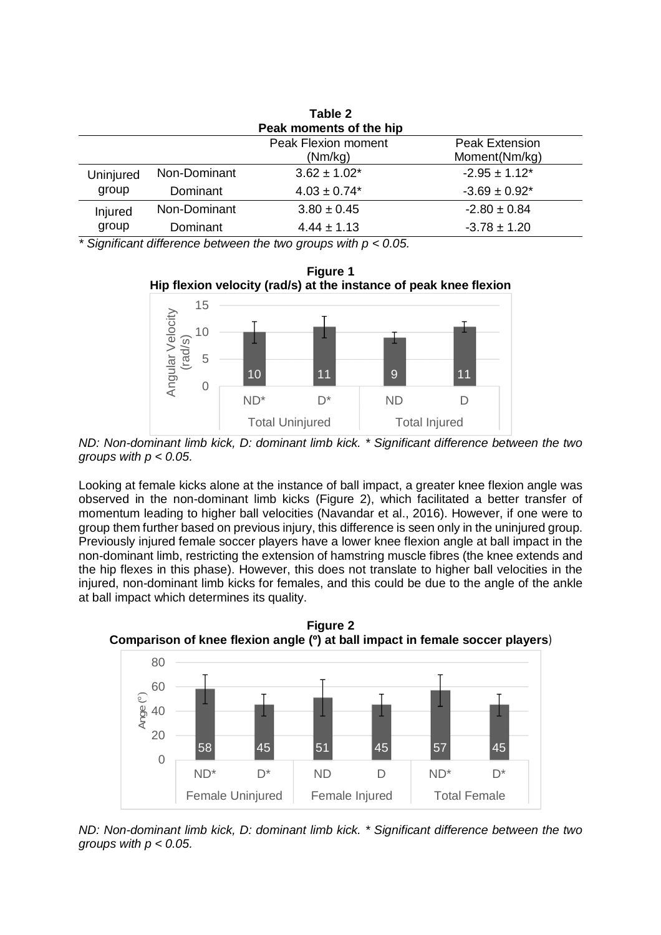| Table 2                 |              |                              |                       |  |  |  |  |
|-------------------------|--------------|------------------------------|-----------------------|--|--|--|--|
| Peak moments of the hip |              |                              |                       |  |  |  |  |
|                         |              | <b>Peak Flexion moment</b>   | <b>Peak Extension</b> |  |  |  |  |
|                         |              | (Nm/kg)                      | Moment(Nm/kg)         |  |  |  |  |
| Uninjured<br>group      | Non-Dominant | $3.62 \pm 1.02^*$            | $-2.95 \pm 1.12^*$    |  |  |  |  |
|                         | Dominant     | $4.03 \pm 0.74$ <sup>*</sup> | $-3.69 \pm 0.92^*$    |  |  |  |  |
| Injured<br>group        | Non-Dominant | $3.80 \pm 0.45$              | $-2.80 \pm 0.84$      |  |  |  |  |
|                         | Dominant     | $4.44 \pm 1.13$              | $-3.78 \pm 1.20$      |  |  |  |  |

*\* Significant difference between the two groups with p < 0.05.*





*ND: Non-dominant limb kick, D: dominant limb kick. \* Significant difference between the two groups with p < 0.05.*

Looking at female kicks alone at the instance of ball impact, a greater knee flexion angle was observed in the non-dominant limb kicks (Figure 2), which facilitated a better transfer of momentum leading to higher ball velocities (Navandar et al., 2016). However, if one were to group them further based on previous injury, this difference is seen only in the uninjured group. Previously injured female soccer players have a lower knee flexion angle at ball impact in the non-dominant limb, restricting the extension of hamstring muscle fibres (the knee extends and the hip flexes in this phase). However, this does not translate to higher ball velocities in the injured, non-dominant limb kicks for females, and this could be due to the angle of the ankle at ball impact which determines its quality.

**Figure 2 Comparison of knee flexion angle (º) at ball impact in female soccer players**)



*ND: Non-dominant limb kick, D: dominant limb kick. \* Significant difference between the two groups with p < 0.05.*